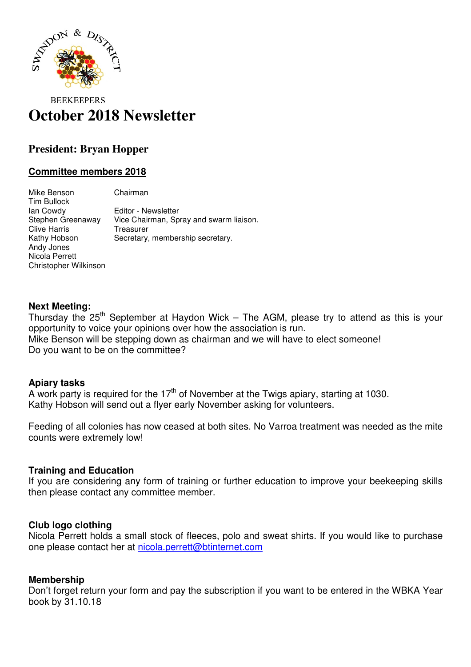

# **BEEKEEPERS October 2018 Newsletter**

# **President: Bryan Hopper**

# **Committee members 2018**

Mike Benson Chairman Tim Bullock Ian Cowdy Editor - Newsletter Stephen Greenaway Vice Chairman, Spray and swarm liaison. Clive Harris Treasurer Kathy Hobson Secretary, membership secretary. Andy Jones Nicola Perrett Christopher Wilkinson

#### **Next Meeting:**

Thursday the  $25<sup>th</sup>$  September at Haydon Wick – The AGM, please try to attend as this is your opportunity to voice your opinions over how the association is run. Mike Benson will be stepping down as chairman and we will have to elect someone! Do you want to be on the committee?

#### **Apiary tasks**

A work party is required for the  $17<sup>th</sup>$  of November at the Twigs apiary, starting at 1030. Kathy Hobson will send out a flyer early November asking for volunteers.

Feeding of all colonies has now ceased at both sites. No Varroa treatment was needed as the mite counts were extremely low!

### **Training and Education**

If you are considering any form of training or further education to improve your beekeeping skills then please contact any committee member.

### **Club logo clothing**

Nicola Perrett holds a small stock of fleeces, polo and sweat shirts. If you would like to purchase one please contact her at nicola.perrett@btinternet.com

### **Membership**

Don't forget return your form and pay the subscription if you want to be entered in the WBKA Year book by 31.10.18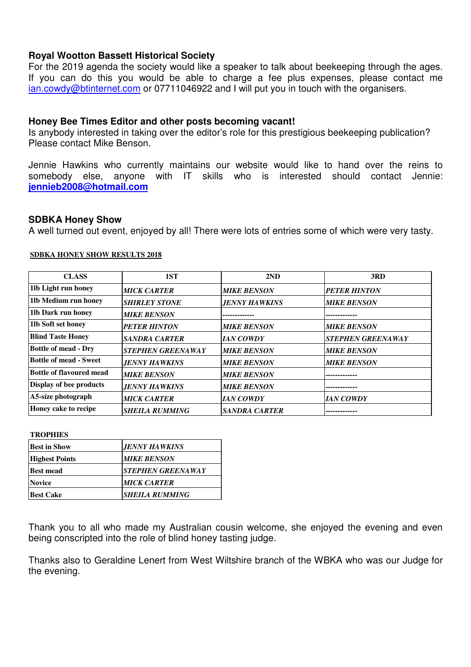## **Royal Wootton Bassett Historical Society**

For the 2019 agenda the society would like a speaker to talk about beekeeping through the ages. If you can do this you would be able to charge a fee plus expenses, please contact me ian.cowdy@btinternet.com or 07711046922 and I will put you in touch with the organisers.

### **Honey Bee Times Editor and other posts becoming vacant!**

Is anybody interested in taking over the editor's role for this prestigious beekeeping publication? Please contact Mike Benson.

Jennie Hawkins who currently maintains our website would like to hand over the reins to somebody else, anyone with IT skills who is interested should contact Jennie: **jennieb2008@hotmail.com**

### **SDBKA Honey Show**

A well turned out event, enjoyed by all! There were lots of entries some of which were very tasty.

#### **SDBKA HONEY SHOW RESULTS 2018**

| <b>CLASS</b>                | 1ST                      | 2ND                         | 3RD                      |
|-----------------------------|--------------------------|-----------------------------|--------------------------|
| 1lb Light run honey         | <b>MICK CARTER</b>       | <b>MIKE BENSON</b>          | <b>PETER HINTON</b>      |
| 11b Medium run honey        | <b>SHIRLEY STONE</b>     | <b>JENNY HAWKINS</b>        | <b>MIKE BENSON</b>       |
| 11b Dark run honey          | <b>MIKE BENSON</b>       |                             |                          |
| 11b Soft set honey          | <b>PETER HINTON</b>      | <b>MIKE BENSON</b>          | <b>MIKE BENSON</b>       |
| <b>Blind Taste Honey</b>    | <b>SANDRA CARTER</b>     | <b>IAN COWDY</b>            | <b>STEPHEN GREENAWAY</b> |
| <b>Bottle of mead - Dry</b> | <b>STEPHEN GREENAWAY</b> | <b>MIKE BENSON</b>          | <b>MIKE BENSON</b>       |
| Bottle of mead - Sweet      | <b>JENNY HAWKINS</b>     | <b>MIKE BENSON</b>          | <b>MIKE BENSON</b>       |
| Bottle of flavoured mead    | <b>MIKE BENSON</b>       | <b>MIKE BENSON</b>          |                          |
| Display of bee products     | <b>JENNY HAWKINS</b>     | <b>MIKE BENSON</b>          |                          |
| A5-size photograph          | <b>MICK CARTER</b>       | <b>IAN COWDY</b>            | <i>IAN COWDY</i>         |
| Honey cake to recipe        | <b>SHEILA RUMMING</b>    | <i><b>SANDRA CARTER</b></i> |                          |

**TROPHIES**

| <b>Best in Show</b>   | <b>JENNY HAWKINS</b>            |  |
|-----------------------|---------------------------------|--|
| <b>Highest Points</b> | <b>MIKE BENSON</b>              |  |
| <b>Best mead</b>      | <i><b>STEPHEN GREENAWAY</b></i> |  |
| <b>Novice</b>         | <b>MICK CARTER</b>              |  |
| <b>Best Cake</b>      | <b>SHEILA RUMMING</b>           |  |

Thank you to all who made my Australian cousin welcome, she enjoyed the evening and even being conscripted into the role of blind honey tasting judge.

Thanks also to Geraldine Lenert from West Wiltshire branch of the WBKA who was our Judge for the evening.